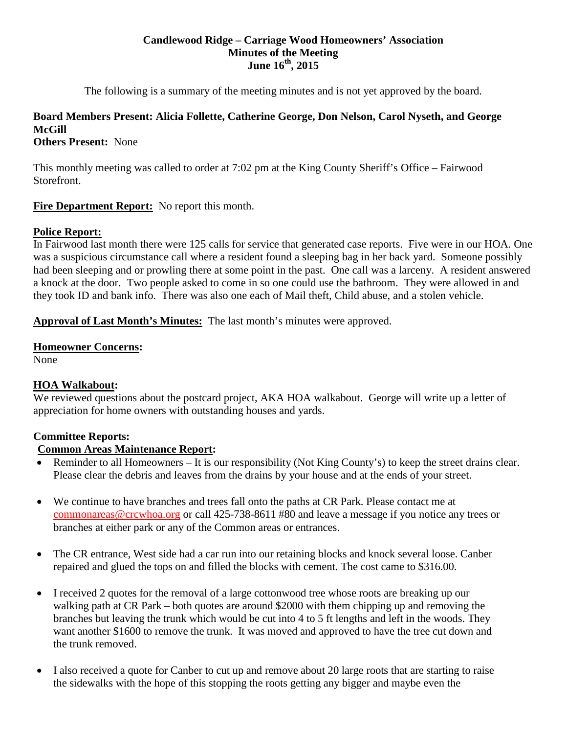#### **Candlewood Ridge – Carriage Wood Homeowners' Association Minutes of the Meeting June 16th, 2015**

The following is a summary of the meeting minutes and is not yet approved by the board.

# **Board Members Present: Alicia Follette, Catherine George, Don Nelson, Carol Nyseth, and George McGill**

# **Others Present:** None

This monthly meeting was called to order at 7:02 pm at the King County Sheriff's Office – Fairwood Storefront.

# **Fire Department Report:** No report this month.

# **Police Report:**

In Fairwood last month there were 125 calls for service that generated case reports. Five were in our HOA. One was a suspicious circumstance call where a resident found a sleeping bag in her back yard. Someone possibly had been sleeping and or prowling there at some point in the past. One call was a larceny. A resident answered a knock at the door. Two people asked to come in so one could use the bathroom. They were allowed in and they took ID and bank info. There was also one each of Mail theft, Child abuse, and a stolen vehicle.

**Approval of Last Month's Minutes:** The last month's minutes were approved.

#### **Homeowner Concerns:**

None

# **HOA Walkabout:**

We reviewed questions about the postcard project, AKA HOA walkabout. George will write up a letter of appreciation for home owners with outstanding houses and yards.

# **Committee Reports:**

# **Common Areas Maintenance Report:**

- Reminder to all Homeowners It is our responsibility (Not King County's) to keep the street drains clear. Please clear the debris and leaves from the drains by your house and at the ends of your street.
- We continue to have branches and trees fall onto the paths at CR Park. Please contact me at [commonareas@crcwhoa.org](mailto:commonareas@crcwhoa.org) or call 425-738-8611 #80 and leave a message if you notice any trees or branches at either park or any of the Common areas or entrances.
- The CR entrance, West side had a car run into our retaining blocks and knock several loose. Canber repaired and glued the tops on and filled the blocks with cement. The cost came to \$316.00.
- I received 2 quotes for the removal of a large cottonwood tree whose roots are breaking up our walking path at CR Park – both quotes are around \$2000 with them chipping up and removing the branches but leaving the trunk which would be cut into 4 to 5 ft lengths and left in the woods. They want another \$1600 to remove the trunk. It was moved and approved to have the tree cut down and the trunk removed.
- I also received a quote for Canber to cut up and remove about 20 large roots that are starting to raise the sidewalks with the hope of this stopping the roots getting any bigger and maybe even the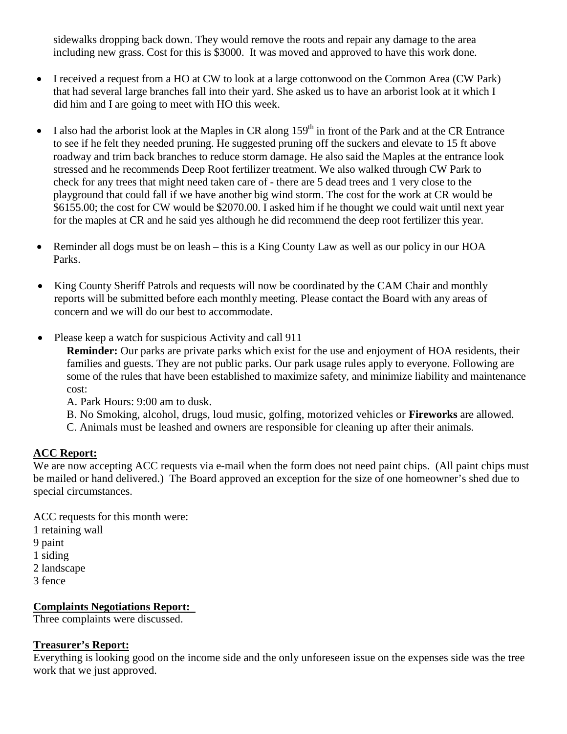sidewalks dropping back down. They would remove the roots and repair any damage to the area including new grass. Cost for this is \$3000. It was moved and approved to have this work done.

- I received a request from a HO at CW to look at a large cottonwood on the Common Area (CW Park) that had several large branches fall into their yard. She asked us to have an arborist look at it which I did him and I are going to meet with HO this week.
- I also had the arborist look at the Maples in CR along  $159<sup>th</sup>$  in front of the Park and at the CR Entrance to see if he felt they needed pruning. He suggested pruning off the suckers and elevate to 15 ft above roadway and trim back branches to reduce storm damage. He also said the Maples at the entrance look stressed and he recommends Deep Root fertilizer treatment. We also walked through CW Park to check for any trees that might need taken care of - there are 5 dead trees and 1 very close to the playground that could fall if we have another big wind storm. The cost for the work at CR would be \$6155.00; the cost for CW would be \$2070.00. I asked him if he thought we could wait until next year for the maples at CR and he said yes although he did recommend the deep root fertilizer this year.
- Reminder all dogs must be on leash this is a King County Law as well as our policy in our HOA Parks.
- King County Sheriff Patrols and requests will now be coordinated by the CAM Chair and monthly reports will be submitted before each monthly meeting. Please contact the Board with any areas of concern and we will do our best to accommodate.
- Please keep a watch for suspicious Activity and call 911

**Reminder:** Our parks are private parks which exist for the use and enjoyment of HOA residents, their families and guests. They are not public parks. Our park usage rules apply to everyone. Following are some of the rules that have been established to maximize safety, and minimize liability and maintenance cost:

A. Park Hours: 9:00 am to dusk.

B. No Smoking, alcohol, drugs, loud music, golfing, motorized vehicles or **Fireworks** are allowed.

C. Animals must be leashed and owners are responsible for cleaning up after their animals.

# **ACC Report:**

We are now accepting ACC requests via e-mail when the form does not need paint chips. (All paint chips must be mailed or hand delivered.) The Board approved an exception for the size of one homeowner's shed due to special circumstances.

ACC requests for this month were: 1 retaining wall 9 paint 1 siding 2 landscape 3 fence

**Complaints Negotiations Report:** 

Three complaints were discussed.

# **Treasurer's Report:**

Everything is looking good on the income side and the only unforeseen issue on the expenses side was the tree work that we just approved.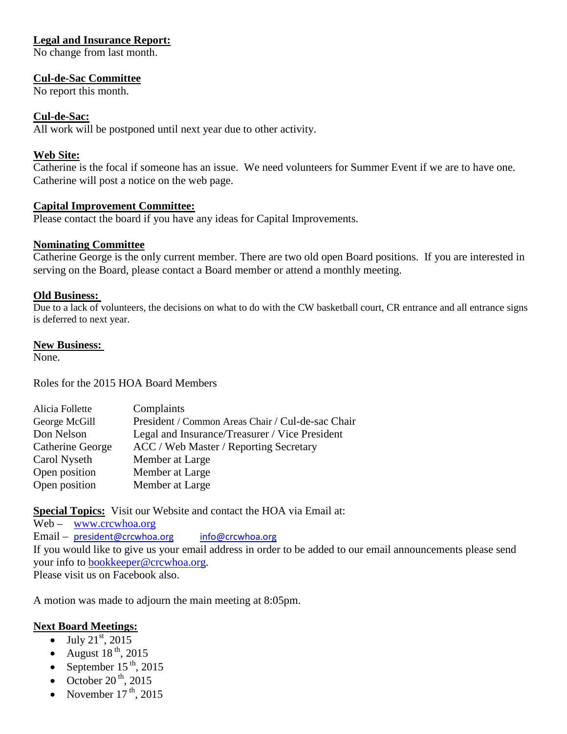# **Legal and Insurance Report:**

No change from last month.

#### **Cul-de-Sac Committee**

No report this month.

#### **Cul-de-Sac:**

All work will be postponed until next year due to other activity.

#### **Web Site:**

Catherine is the focal if someone has an issue. We need volunteers for Summer Event if we are to have one. Catherine will post a notice on the web page.

#### **Capital Improvement Committee:**

Please contact the board if you have any ideas for Capital Improvements.

#### **Nominating Committee**

Catherine George is the only current member. There are two old open Board positions. If you are interested in serving on the Board, please contact a Board member or attend a monthly meeting.

#### **Old Business:**

Due to a lack of volunteers, the decisions on what to do with the CW basketball court, CR entrance and all entrance signs is deferred to next year.

#### **New Business:**

None.

Roles for the 2015 HOA Board Members

| Alicia Follette  | Complaints                                        |
|------------------|---------------------------------------------------|
| George McGill    | President / Common Areas Chair / Cul-de-sac Chair |
| Don Nelson       | Legal and Insurance/Treasurer / Vice President    |
| Catherine George | ACC / Web Master / Reporting Secretary            |
| Carol Nyseth     | Member at Large                                   |
| Open position    | Member at Large                                   |
| Open position    | Member at Large                                   |

**Special Topics:** Visit our Website and contact the HOA via Email at:

Web – [www.crcwhoa.org](http://www.crcwhoa.org/) Email – [president@crcwhoa.org](mailto:president@crcwhoa.org) [info@crcwhoa.org](mailto:info@crcwhoa.org) If you would like to give us your email address in order to be added to our email announcements please send your info to [bookkeeper@crcwhoa.org.](mailto:bookkeeper@crcwhoa.org) Please visit us on Facebook also.

A motion was made to adjourn the main meeting at 8:05pm.

# **Next Board Meetings:**

- July  $21^{st}$ , 2015
- August  $18^{th}$ , 2015
- September  $15^{th}$ , 2015
- October  $20<sup>th</sup>$ , 2015
- November  $17<sup>th</sup>$ , 2015